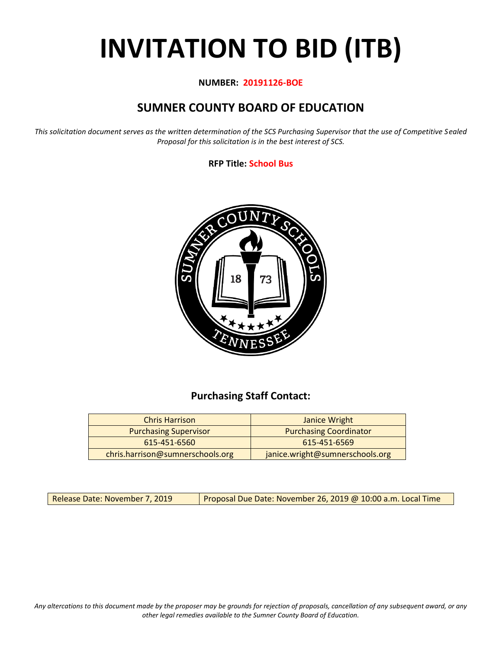# **INVITATION TO BID (ITB)**

#### **NUMBER: 20191126-BOE**

# **SUMNER COUNTY BOARD OF EDUCATION**

*This solicitation document serves as the written determination of the SCS Purchasing Supervisor that the use of Competitive Sealed Proposal for this solicitation is in the best interest of SCS.*

#### **RFP Title: School Bus**



## **Purchasing Staff Contact:**

| <b>Chris Harrison</b>            | Janice Wright                   |
|----------------------------------|---------------------------------|
| <b>Purchasing Supervisor</b>     | <b>Purchasing Coordinator</b>   |
| 615-451-6560                     | 615-451-6569                    |
| chris.harrison@sumnerschools.org | janice.wright@sumnerschools.org |

Release Date: November 7, 2019 | Proposal Due Date: November 26, 2019 @ 10:00 a.m. Local Time

*Any altercations to this document made by the proposer may be grounds for rejection of proposals, cancellation of any subsequent award, or any other legal remedies available to the Sumner County Board of Education.*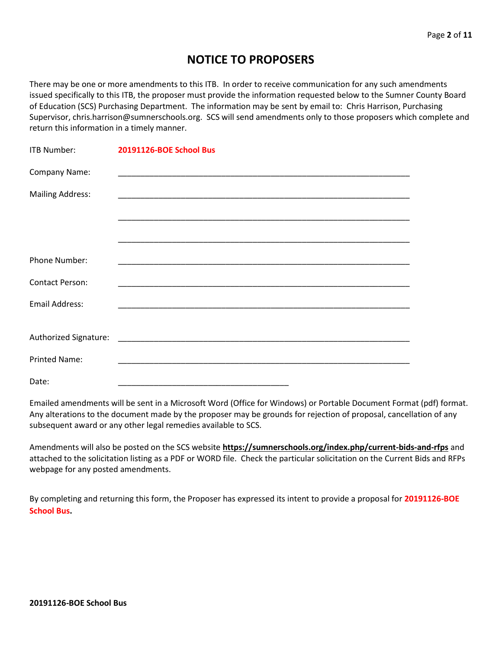# **NOTICE TO PROPOSERS**

There may be one or more amendments to this ITB. In order to receive communication for any such amendments issued specifically to this ITB, the proposer must provide the information requested below to the Sumner County Board of Education (SCS) Purchasing Department. The information may be sent by email to: Chris Harrison, Purchasing Supervisor, chris.harrison@sumnerschools.org. SCS will send amendments only to those proposers which complete and return this information in a timely manner.

| <b>ITB Number:</b>      | 20191126-BOE School Bus |
|-------------------------|-------------------------|
| Company Name:           |                         |
| <b>Mailing Address:</b> |                         |
|                         |                         |
|                         |                         |
| <b>Phone Number:</b>    |                         |
| <b>Contact Person:</b>  |                         |
| Email Address:          |                         |
|                         |                         |
|                         |                         |
| <b>Printed Name:</b>    |                         |
| Date:                   |                         |

Emailed amendments will be sent in a Microsoft Word (Office for Windows) or Portable Document Format (pdf) format. Any alterations to the document made by the proposer may be grounds for rejection of proposal, cancellation of any subsequent award or any other legal remedies available to SCS.

Amendments will also be posted on the SCS website **https://sumnerschools.org/index.php/current-bids-and-rfps** and attached to the solicitation listing as a PDF or WORD file. Check the particular solicitation on the Current Bids and RFPs webpage for any posted amendments.

By completing and returning this form, the Proposer has expressed its intent to provide a proposal for **20191126-BOE School Bus.**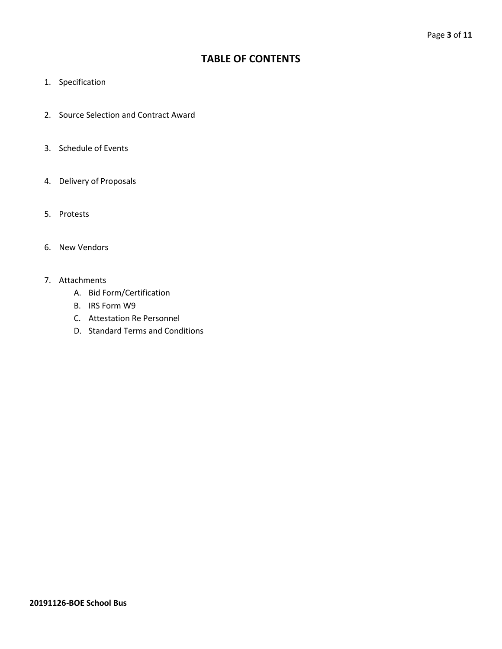## **TABLE OF CONTENTS**

- 1. Specification
- 2. Source Selection and Contract Award
- 3. Schedule of Events
- 4. Delivery of Proposals
- 5. Protests
- 6. New Vendors
- 7. Attachments
	- A. Bid Form/Certification
	- B. IRS Form W9
	- C. Attestation Re Personnel
	- D. Standard Terms and Conditions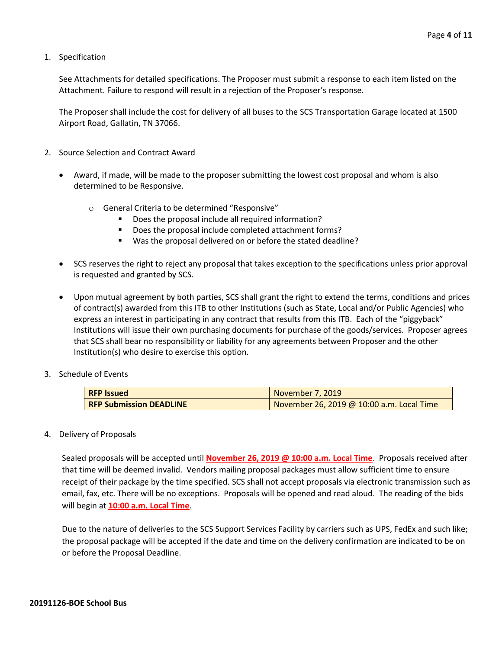1. Specification

See Attachments for detailed specifications. The Proposer must submit a response to each item listed on the Attachment. Failure to respond will result in a rejection of the Proposer's response.

The Proposer shall include the cost for delivery of all buses to the SCS Transportation Garage located at 1500 Airport Road, Gallatin, TN 37066.

- 2. Source Selection and Contract Award
	- Award, if made, will be made to the proposer submitting the lowest cost proposal and whom is also determined to be Responsive.
		- o General Criteria to be determined "Responsive"
			- Does the proposal include all required information?
			- Does the proposal include completed attachment forms?
			- Was the proposal delivered on or before the stated deadline?
	- SCS reserves the right to reject any proposal that takes exception to the specifications unless prior approval is requested and granted by SCS.
	- Upon mutual agreement by both parties, SCS shall grant the right to extend the terms, conditions and prices of contract(s) awarded from this ITB to other Institutions (such as State, Local and/or Public Agencies) who express an interest in participating in any contract that results from this ITB. Each of the "piggyback" Institutions will issue their own purchasing documents for purchase of the goods/services. Proposer agrees that SCS shall bear no responsibility or liability for any agreements between Proposer and the other Institution(s) who desire to exercise this option.
- 3. Schedule of Events

| <b>RFP Issued</b>              | November 7, 2019                          |
|--------------------------------|-------------------------------------------|
| <b>RFP Submission DEADLINE</b> | November 26, 2019 @ 10:00 a.m. Local Time |

4. Delivery of Proposals

Sealed proposals will be accepted until **November 26, 2019 @ 10:00 a.m. Local Time**. Proposals received after that time will be deemed invalid. Vendors mailing proposal packages must allow sufficient time to ensure receipt of their package by the time specified. SCS shall not accept proposals via electronic transmission such as email, fax, etc. There will be no exceptions. Proposals will be opened and read aloud. The reading of the bids will begin at **10:00 a.m. Local Time**.

Due to the nature of deliveries to the SCS Support Services Facility by carriers such as UPS, FedEx and such like; the proposal package will be accepted if the date and time on the delivery confirmation are indicated to be on or before the Proposal Deadline.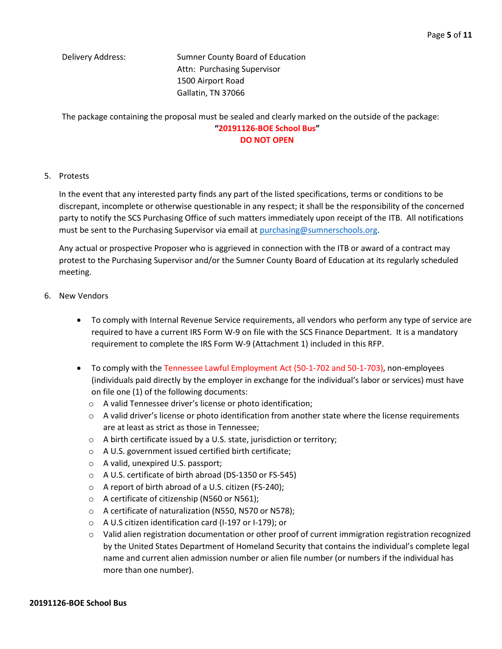Delivery Address: Sumner County Board of Education Attn: Purchasing Supervisor 1500 Airport Road Gallatin, TN 37066

The package containing the proposal must be sealed and clearly marked on the outside of the package:

#### **"20191126-BOE School Bus" DO NOT OPEN**

#### 5. Protests

In the event that any interested party finds any part of the listed specifications, terms or conditions to be discrepant, incomplete or otherwise questionable in any respect; it shall be the responsibility of the concerned party to notify the SCS Purchasing Office of such matters immediately upon receipt of the ITB. All notifications must be sent to the Purchasing Supervisor via email at [purchasing@sumnerschools.org.](mailto:purchasing@sumnerschools.org)

Any actual or prospective Proposer who is aggrieved in connection with the ITB or award of a contract may protest to the Purchasing Supervisor and/or the Sumner County Board of Education at its regularly scheduled meeting.

- 6. New Vendors
	- To comply with Internal Revenue Service requirements, all vendors who perform any type of service are required to have a current IRS Form W-9 on file with the SCS Finance Department. It is a mandatory requirement to complete the IRS Form W-9 (Attachment 1) included in this RFP.
	- To comply with the Tennessee Lawful Employment Act (50-1-702 and 50-1-703), non-employees (individuals paid directly by the employer in exchange for the individual's labor or services) must have on file one (1) of the following documents:
		- o A valid Tennessee driver's license or photo identification;
		- $\circ$  A valid driver's license or photo identification from another state where the license requirements are at least as strict as those in Tennessee;
		- $\circ$  A birth certificate issued by a U.S. state, jurisdiction or territory;
		- o A U.S. government issued certified birth certificate;
		- o A valid, unexpired U.S. passport;
		- o A U.S. certificate of birth abroad (DS-1350 or FS-545)
		- o A report of birth abroad of a U.S. citizen (FS-240);
		- o A certificate of citizenship (N560 or N561);
		- o A certificate of naturalization (N550, N570 or N578);
		- o A U.S citizen identification card (I-197 or I-179); or
		- o Valid alien registration documentation or other proof of current immigration registration recognized by the United States Department of Homeland Security that contains the individual's complete legal name and current alien admission number or alien file number (or numbers if the individual has more than one number).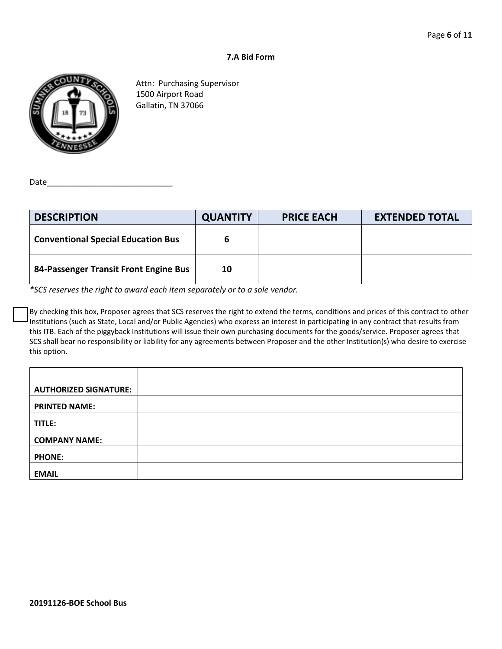#### **7.A Bid Form**



Attn: Purchasing Supervisor 1500 Airport Road Gallatin, TN 37066

Date

| <b>DESCRIPTION</b>                        | <b>QUANTITY</b> | <b>PRICE EACH</b> | <b>EXTENDED TOTAL</b> |
|-------------------------------------------|-----------------|-------------------|-----------------------|
| <b>Conventional Special Education Bus</b> |                 |                   |                       |
| 84-Passenger Transit Front Engine Bus     | 10              |                   |                       |

*\*SCS reserves the right to award each item separately or to a sole vendor.*

By checking this box, Proposer agrees that SCS reserves the right to extend the terms, conditions and prices of this contract to other Institutions (such as State, Local and/or Public Agencies) who express an interest in participating in any contract that results from this ITB. Each of the piggyback Institutions will issue their own purchasing documents for the goods/service. Proposer agrees that SCS shall bear no responsibility or liability for any agreements between Proposer and the other Institution(s) who desire to exercise this option.

| <b>AUTHORIZED SIGNATURE:</b> |  |
|------------------------------|--|
| <b>PRINTED NAME:</b>         |  |
| TITLE:                       |  |
| <b>COMPANY NAME:</b>         |  |
| <b>PHONE:</b>                |  |
| <b>EMAIL</b>                 |  |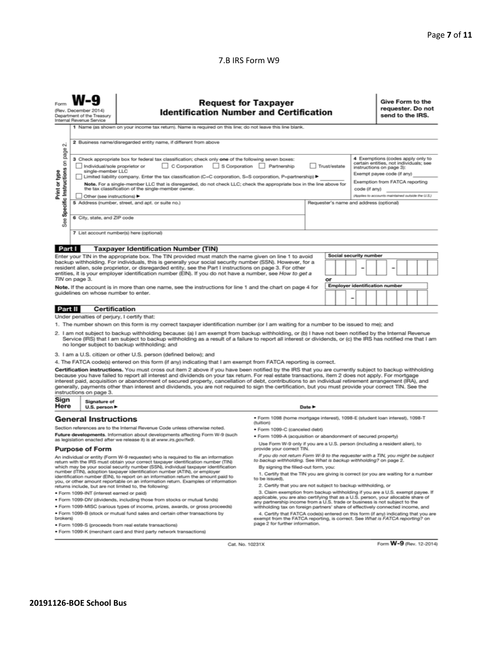#### 7.B IRS Form W9

|                                                                                                                                                                                                                                                                                                                                                                                                                                                                                                                                                                                                                                                                                                                                                                                                                                                                                      | <b>Request for Taxpayer</b><br>(Rev. December 2014)<br><b>Identification Number and Certification</b><br>Department of the Treasury<br>Internal Revenue Service<br>1 Name (as shown on your income tax return). Name is required on this line; do not leave this line blank. |                                                                                                                                                                                                                                                                                                                                                                                                                                                                                                                                                                                                                                                                                                                                                                                                                                |                                                                                                                                                                                                                                                                                                                                                                                                                                                                                                                                                                                                                                                                                                                                                                                                                                                                                                                   |  |                                                                         |                                                                                                                                                                                                                              |  |  | Give Form to the<br>requester. Do not<br>send to the IRS. |  |  |  |
|--------------------------------------------------------------------------------------------------------------------------------------------------------------------------------------------------------------------------------------------------------------------------------------------------------------------------------------------------------------------------------------------------------------------------------------------------------------------------------------------------------------------------------------------------------------------------------------------------------------------------------------------------------------------------------------------------------------------------------------------------------------------------------------------------------------------------------------------------------------------------------------|------------------------------------------------------------------------------------------------------------------------------------------------------------------------------------------------------------------------------------------------------------------------------|--------------------------------------------------------------------------------------------------------------------------------------------------------------------------------------------------------------------------------------------------------------------------------------------------------------------------------------------------------------------------------------------------------------------------------------------------------------------------------------------------------------------------------------------------------------------------------------------------------------------------------------------------------------------------------------------------------------------------------------------------------------------------------------------------------------------------------|-------------------------------------------------------------------------------------------------------------------------------------------------------------------------------------------------------------------------------------------------------------------------------------------------------------------------------------------------------------------------------------------------------------------------------------------------------------------------------------------------------------------------------------------------------------------------------------------------------------------------------------------------------------------------------------------------------------------------------------------------------------------------------------------------------------------------------------------------------------------------------------------------------------------|--|-------------------------------------------------------------------------|------------------------------------------------------------------------------------------------------------------------------------------------------------------------------------------------------------------------------|--|--|-----------------------------------------------------------|--|--|--|
| 2 Business name/disregarded entity name, if different from above<br>N<br>page<br>3 Check appropriate box for federal tax classification; check only one of the following seven boxes:<br>Specific Instructions on<br>C Corporation<br>S Corporation Partnership<br>Individual/sole proprietor or<br>Trust/estate<br>Print or type<br>single-member LLC<br>Limited liability company. Enter the tax classification (C=C corporation, S=S corporation, P=partnership) ▶<br>Note. For a single-member LLC that is disregarded, do not check LLC; check the appropriate box in the line above for<br>the tax classification of the single-member owner.<br>code (if any)<br>Other (see instructions) ▶<br>5 Address (number, street, and apt. or suite no.)<br>Requester's name and address (optional)<br>6 City, state, and ZIP code<br>See<br>7 List account number(s) here (optional) |                                                                                                                                                                                                                                                                              |                                                                                                                                                                                                                                                                                                                                                                                                                                                                                                                                                                                                                                                                                                                                                                                                                                |                                                                                                                                                                                                                                                                                                                                                                                                                                                                                                                                                                                                                                                                                                                                                                                                                                                                                                                   |  |                                                                         | 4 Exemptions (codes apply only to<br>certain entities, not individuals; see<br>instructions on page 3):<br>Exempt payee code (if any)<br>Exemption from FATCA reporting<br>(Applies to accounts maintained outside the U.S.) |  |  |                                                           |  |  |  |
| Part I                                                                                                                                                                                                                                                                                                                                                                                                                                                                                                                                                                                                                                                                                                                                                                                                                                                                               |                                                                                                                                                                                                                                                                              | <b>Taxpayer Identification Number (TIN)</b>                                                                                                                                                                                                                                                                                                                                                                                                                                                                                                                                                                                                                                                                                                                                                                                    |                                                                                                                                                                                                                                                                                                                                                                                                                                                                                                                                                                                                                                                                                                                                                                                                                                                                                                                   |  |                                                                         | Social security number                                                                                                                                                                                                       |  |  |                                                           |  |  |  |
| Enter your TIN in the appropriate box. The TIN provided must match the name given on line 1 to avoid<br>backup withholding. For individuals, this is generally your social security number (SSN). However, for a<br>resident alien, sole proprietor, or disregarded entity, see the Part I instructions on page 3. For other<br>entities, it is your employer identification number (EIN). If you do not have a number, see How to get a<br>TIN on page 3.<br>Note. If the account is in more than one name, see the instructions for line 1 and the chart on page 4 for<br>guidelines on whose number to enter.                                                                                                                                                                                                                                                                     |                                                                                                                                                                                                                                                                              |                                                                                                                                                                                                                                                                                                                                                                                                                                                                                                                                                                                                                                                                                                                                                                                                                                |                                                                                                                                                                                                                                                                                                                                                                                                                                                                                                                                                                                                                                                                                                                                                                                                                                                                                                                   |  | or<br><b>Employer identification number</b><br>$\overline{\phantom{0}}$ |                                                                                                                                                                                                                              |  |  |                                                           |  |  |  |
| <b>Part II</b>                                                                                                                                                                                                                                                                                                                                                                                                                                                                                                                                                                                                                                                                                                                                                                                                                                                                       | Under penalties of perjury, I certify that:                                                                                                                                                                                                                                  | <b>Certification</b>                                                                                                                                                                                                                                                                                                                                                                                                                                                                                                                                                                                                                                                                                                                                                                                                           |                                                                                                                                                                                                                                                                                                                                                                                                                                                                                                                                                                                                                                                                                                                                                                                                                                                                                                                   |  |                                                                         |                                                                                                                                                                                                                              |  |  |                                                           |  |  |  |
| 1. The number shown on this form is my correct taxpayer identification number (or I am waiting for a number to be issued to me); and<br>2. I am not subject to backup withholding because: (a) I am exempt from backup withholding, or (b) I have not been notified by the Internal Revenue<br>Service (IRS) that I am subject to backup withholding as a result of a failure to report all interest or dividends, or (c) the IRS has notified me that I am<br>no longer subject to backup withholding; and<br>3. I am a U.S. citizen or other U.S. person (defined below); and<br>4. The FATCA code(s) entered on this form (if any) indicating that I am exempt from FATCA reporting is correct.<br>Certification instructions. You must cross out item 2 above if you have been notified by the IRS that you are currently subject to backup withholding                          |                                                                                                                                                                                                                                                                              |                                                                                                                                                                                                                                                                                                                                                                                                                                                                                                                                                                                                                                                                                                                                                                                                                                |                                                                                                                                                                                                                                                                                                                                                                                                                                                                                                                                                                                                                                                                                                                                                                                                                                                                                                                   |  |                                                                         |                                                                                                                                                                                                                              |  |  |                                                           |  |  |  |
|                                                                                                                                                                                                                                                                                                                                                                                                                                                                                                                                                                                                                                                                                                                                                                                                                                                                                      | instructions on page 3.                                                                                                                                                                                                                                                      | because you have failed to report all interest and dividends on your tax return. For real estate transactions, item 2 does not apply. For mortgage<br>interest paid, acquisition or abandonment of secured property, cancellation of debt, contributions to an individual retirement arrangement (IRA), and<br>generally, payments other than interest and dividends, you are not required to sign the certification, but you must provide your correct TIN. See the                                                                                                                                                                                                                                                                                                                                                           |                                                                                                                                                                                                                                                                                                                                                                                                                                                                                                                                                                                                                                                                                                                                                                                                                                                                                                                   |  |                                                                         |                                                                                                                                                                                                                              |  |  |                                                           |  |  |  |
| Sign<br>Here                                                                                                                                                                                                                                                                                                                                                                                                                                                                                                                                                                                                                                                                                                                                                                                                                                                                         | Signature of<br>Date $\blacktriangleright$<br>U.S. person $\blacktriangleright$                                                                                                                                                                                              |                                                                                                                                                                                                                                                                                                                                                                                                                                                                                                                                                                                                                                                                                                                                                                                                                                |                                                                                                                                                                                                                                                                                                                                                                                                                                                                                                                                                                                                                                                                                                                                                                                                                                                                                                                   |  |                                                                         |                                                                                                                                                                                                                              |  |  |                                                           |  |  |  |
| · Form 1098 (home mortgage interest), 1098-E (student loan interest), 1098-T<br><b>General Instructions</b><br>(tuition)<br>Section references are to the Internal Revenue Code unless otherwise noted.<br>· Form 1099-C (canceled debt)<br>Future developments. Information about developments affecting Form W-9 (such<br>. Form 1099-A (acquisition or abandonment of secured property)<br>as legislation enacted after we release it) is at www.irs.gov/fw9.<br>Use Form W-9 only if you are a U.S. person (including a resident alien), to                                                                                                                                                                                                                                                                                                                                      |                                                                                                                                                                                                                                                                              |                                                                                                                                                                                                                                                                                                                                                                                                                                                                                                                                                                                                                                                                                                                                                                                                                                |                                                                                                                                                                                                                                                                                                                                                                                                                                                                                                                                                                                                                                                                                                                                                                                                                                                                                                                   |  |                                                                         |                                                                                                                                                                                                                              |  |  |                                                           |  |  |  |
| brokers)                                                                                                                                                                                                                                                                                                                                                                                                                                                                                                                                                                                                                                                                                                                                                                                                                                                                             | <b>Purpose of Form</b><br>· Form 1099-INT (interest earned or paid)                                                                                                                                                                                                          | An individual or entity (Form W-9 requester) who is required to file an information<br>return with the IRS must obtain your correct taxpayer identification number (TIN)<br>which may be your social security number (SSN), individual taxpayer identification<br>number (ITIN), adoption taxpayer identification number (ATIN), or employer<br>identification number (EIN), to report on an information return the amount paid to<br>you, or other amount reportable on an information return. Examples of information<br>returns include, but are not limited to, the following:<br>. Form 1099-DIV (dividends, including those from stocks or mutual funds)<br>* Form 1099-MISC (various types of income, prizes, awards, or gross proceeds)<br>. Form 1099-B (stock or mutual fund sales and certain other transactions by | provide your correct TIN.<br>If you do not return Form W-9 to the requester with a TIN, you might be subject<br>to backup withholding. See What is backup withholding? on page 2.<br>By signing the filled-out form, you:<br>1. Certify that the TIN you are giving is correct (or you are waiting for a number<br>to be issued).<br>2. Certify that you are not subject to backup withholding, or<br>3. Claim exemption from backup withholding if you are a U.S. exempt payee. If<br>applicable, you are also certifying that as a U.S. person, your allocable share of<br>any partnership income from a U.S. trade or business is not subject to the<br>withholding tax on foreign partners' share of effectively connected income, and<br>4. Certify that FATCA code(s) entered on this form (if any) indicating that you are<br>exempt from the FATCA reporting, is correct. See What is FATCA reporting? on |  |                                                                         |                                                                                                                                                                                                                              |  |  |                                                           |  |  |  |
|                                                                                                                                                                                                                                                                                                                                                                                                                                                                                                                                                                                                                                                                                                                                                                                                                                                                                      |                                                                                                                                                                                                                                                                              | · Form 1099-S (proceeds from real estate transactions)                                                                                                                                                                                                                                                                                                                                                                                                                                                                                                                                                                                                                                                                                                                                                                         | page 2 for further information.                                                                                                                                                                                                                                                                                                                                                                                                                                                                                                                                                                                                                                                                                                                                                                                                                                                                                   |  |                                                                         |                                                                                                                                                                                                                              |  |  |                                                           |  |  |  |

• Form 1099-K (merchant card and third party network transactions)

Cat. No. 10231X

Form W-9 (Rev. 12-2014)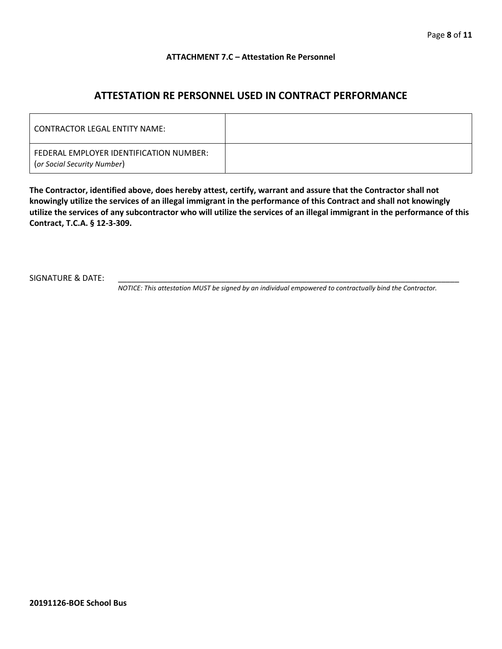#### **ATTACHMENT 7.C – Attestation Re Personnel**

## **ATTESTATION RE PERSONNEL USED IN CONTRACT PERFORMANCE**

| CONTRACTOR LEGAL ENTITY NAME:                                          |  |
|------------------------------------------------------------------------|--|
| FEDERAL EMPLOYER IDENTIFICATION NUMBER:<br>(or Social Security Number) |  |

**The Contractor, identified above, does hereby attest, certify, warrant and assure that the Contractor shall not knowingly utilize the services of an illegal immigrant in the performance of this Contract and shall not knowingly utilize the services of any subcontractor who will utilize the services of an illegal immigrant in the performance of this Contract, T.C.A. § 12-3-309.**

SIGNATURE & DATE:

*NOTICE: This attestation MUST be signed by an individual empowered to contractually bind the Contractor.*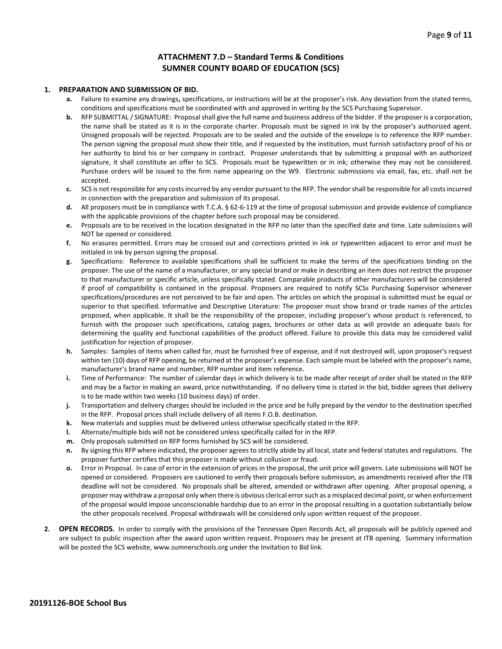#### **ATTACHMENT 7.D – Standard Terms & Conditions SUMNER COUNTY BOARD OF EDUCATION (SCS)**

#### **1. PREPARATION AND SUBMISSION OF BID.**

- **a.** Failure to examine any drawings**,** specifications, or instructions will be at the proposer's risk. Any deviation from the stated terms, conditions and specifications must be coordinated with and approved in writing by the SCS Purchasing Supervisor.
- **b.** RFP SUBMITTAL / SIGNATURE: Proposal shall give the full name and business address of the bidder. If the proposer is a corporation, the name shall be stated as it is in the corporate charter. Proposals must be signed in ink by the proposer's authorized agent. Unsigned proposals will be rejected. Proposals are to be sealed and the outside of the envelope is to reference the RFP number. The person signing the proposal must show their title, and if requested by the institution, must furnish satisfactory proof of his or her authority to bind his or her company in contract. Proposer understands that by submitting a proposal with an authorized signature, it shall constitute an offer to SCS. Proposals must be typewritten or in ink; otherwise they may not be considered. Purchase orders will be issued to the firm name appearing on the W9. Electronic submissions via email, fax, etc. shall not be accepted.
- **c.** SCS is not responsible for any costs incurred by any vendor pursuant to the RFP. The vendor shall be responsible for all costs incurred in connection with the preparation and submission of its proposal.
- **d.** All proposers must be in compliance with T.C.A. § 62-6-119 at the time of proposal submission and provide evidence of compliance with the applicable provisions of the chapter before such proposal may be considered.
- **e.** Proposals are to be received in the location designated in the RFP no later than the specified date and time. Late submissions will NOT be opened or considered.
- **f.** No erasures permitted. Errors may be crossed out and corrections printed in ink or typewritten adjacent to error and must be initialed in ink by person signing the proposal.
- **g.** Specifications: Reference to available specifications shall be sufficient to make the terms of the specifications binding on the proposer. The use of the name of a manufacturer, or any special brand or make in describing an item does not restrict the proposer to that manufacturer or specific article, unless specifically stated. Comparable products of other manufacturers will be considered if proof of compatibility is contained in the proposal. Proposers are required to notify SCSs Purchasing Supervisor whenever specifications/procedures are not perceived to be fair and open. The articles on which the proposal is submitted must be equal or superior to that specified. Informative and Descriptive Literature: The proposer must show brand or trade names of the articles proposed, when applicable. It shall be the responsibility of the proposer, including proposer's whose product is referenced, to furnish with the proposer such specifications, catalog pages, brochures or other data as will provide an adequate basis for determining the quality and functional capabilities of the product offered. Failure to provide this data may be considered valid justification for rejection of proposer.
- **h.** Samples: Samples of items when called for, must be furnished free of expense, and if not destroyed will, upon proposer's request within ten (10) days of RFP opening, be returned at the proposer's expense. Each sample must be labeled with the proposer's name, manufacturer's brand name and number, RFP number and item reference.
- **i.** Time of Performance: The number of calendar days in which delivery is to be made after receipt of order shall be stated in the RFP and may be a factor in making an award, price notwithstanding. If no delivery time is stated in the bid, bidder agrees that delivery is to be made within two weeks (10 business days) of order.
- **j.** Transportation and delivery charges should be included in the price and be fully prepaid by the vendor to the destination specified in the RFP. Proposal prices shall include delivery of all items F.O.B. destination.
- **k.** New materials and supplies must be delivered unless otherwise specifically stated in the RFP.
- **l.** Alternate/multiple bids will not be considered unless specifically called for in the RFP.
- **m.** Only proposals submitted on RFP forms furnished by SCS will be considered.
- **n.** By signing this RFP where indicated, the proposer agrees to strictly abide by all local, state and federal statutes and regulations. The proposer further certifies that this proposer is made without collusion or fraud.
- **o.** Error in Proposal. In case of error in the extension of prices in the proposal, the unit price will govern. Late submissions will NOT be opened or considered. Proposers are cautioned to verify their proposals before submission, as amendments received after the ITB deadline will not be considered. No proposals shall be altered, amended or withdrawn after opening. After proposal opening, a proposer may withdraw a proposal only when there is obvious clerical error such as a misplaced decimal point, or when enforcement of the proposal would impose unconscionable hardship due to an error in the proposal resulting in a quotation substantially below the other proposals received. Proposal withdrawals will be considered only upon written request of the proposer.
- **2. OPEN RECORDS.** In order to comply with the provisions of the Tennessee Open Records Act, all proposals will be publicly opened and are subject to public inspection after the award upon written request. Proposers may be present at ITB opening. Summary information will be posted the SCS website, www.sumnerschools.org under the Invitation to Bid link.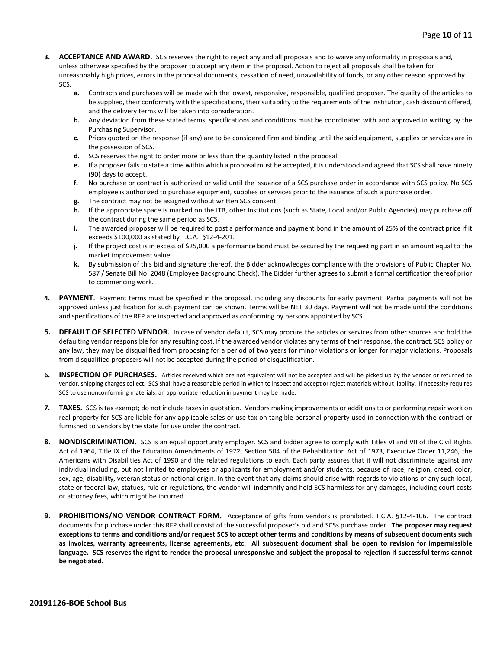- **3. ACCEPTANCE AND AWARD.** SCS reserves the right to reject any and all proposals and to waive any informality in proposals and, unless otherwise specified by the proposer to accept any item in the proposal. Action to reject all proposals shall be taken for unreasonably high prices, errors in the proposal documents, cessation of need, unavailability of funds, or any other reason approved by SCS.
	- **a.** Contracts and purchases will be made with the lowest, responsive, responsible, qualified proposer. The quality of the articles to be supplied, their conformity with the specifications, their suitability to the requirements of the Institution, cash discount offered, and the delivery terms will be taken into consideration.
	- **b.** Any deviation from these stated terms, specifications and conditions must be coordinated with and approved in writing by the Purchasing Supervisor.
	- **c.** Prices quoted on the response (if any) are to be considered firm and binding until the said equipment, supplies or services are in the possession of SCS.
	- **d.** SCS reserves the right to order more or less than the quantity listed in the proposal.
	- **e.** If a proposer fails to state a time within which a proposal must be accepted, it is understood and agreed that SCS shall have ninety (90) days to accept.
	- **f.** No purchase or contract is authorized or valid until the issuance of a SCS purchase order in accordance with SCS policy. No SCS employee is authorized to purchase equipment, supplies or services prior to the issuance of such a purchase order.
	- **g.** The contract may not be assigned without written SCS consent.
	- **h.** If the appropriate space is marked on the ITB, other Institutions (such as State, Local and/or Public Agencies) may purchase off the contract during the same period as SCS.
	- **i.** The awarded proposer will be required to post a performance and payment bond in the amount of 25% of the contract price if it exceeds \$100,000 as stated by T.C.A. §12-4-201.
	- **j.** If the project cost is in excess of \$25,000 a performance bond must be secured by the requesting part in an amount equal to the market improvement value.
	- **k.** By submission of this bid and signature thereof, the Bidder acknowledges compliance with the provisions of Public Chapter No. 587 / Senate Bill No. 2048 (Employee Background Check). The Bidder further agrees to submit a formal certification thereof prior to commencing work.
- **4. PAYMENT**. Payment terms must be specified in the proposal, including any discounts for early payment. Partial payments will not be approved unless justification for such payment can be shown. Terms will be NET 30 days. Payment will not be made until the conditions and specifications of the RFP are inspected and approved as conforming by persons appointed by SCS.
- **5. DEFAULT OF SELECTED VENDOR.** In case of vendor default, SCS may procure the articles or services from other sources and hold the defaulting vendor responsible for any resulting cost. If the awarded vendor violates any terms of their response, the contract, SCS policy or any law, they may be disqualified from proposing for a period of two years for minor violations or longer for major violations. Proposals from disqualified proposers will not be accepted during the period of disqualification.
- **6. INSPECTION OF PURCHASES.** Articles received which are not equivalent will not be accepted and will be picked up by the vendor or returned to vendor, shipping charges collect. SCS shall have a reasonable period in which to inspect and accept or reject materials without liability. If necessity requires SCS to use nonconforming materials, an appropriate reduction in payment may be made.
- **7. TAXES.** SCS is tax exempt; do not include taxes in quotation. Vendors making improvements or additions to or performing repair work on real property for SCS are liable for any applicable sales or use tax on tangible personal property used in connection with the contract or furnished to vendors by the state for use under the contract.
- **8. NONDISCRIMINATION.** SCS is an equal opportunity employer. SCS and bidder agree to comply with Titles VI and VII of the Civil Rights Act of 1964, Title IX of the Education Amendments of 1972, Section 504 of the Rehabilitation Act of 1973, Executive Order 11,246, the Americans with Disabilities Act of 1990 and the related regulations to each. Each party assures that it will not discriminate against any individual including, but not limited to employees or applicants for employment and/or students, because of race, religion, creed, color, sex, age, disability, veteran status or national origin. In the event that any claims should arise with regards to violations of any such local, state or federal law, statues, rule or regulations, the vendor will indemnify and hold SCS harmless for any damages, including court costs or attorney fees, which might be incurred.
- **9. PROHIBITIONS/NO VENDOR CONTRACT FORM.** Acceptance of gifts from vendors is prohibited. T.C.A. §12-4-106. The contract documents for purchase under this RFP shall consist of the successful proposer's bid and SCSs purchase order. **The proposer may request exceptions to terms and conditions and/or request SCS to accept other terms and conditions by means of subsequent documents such as invoices, warranty agreements, license agreements, etc. All subsequent document shall be open to revision for impermissible language. SCS reserves the right to render the proposal unresponsive and subject the proposal to rejection if successful terms cannot be negotiated.**